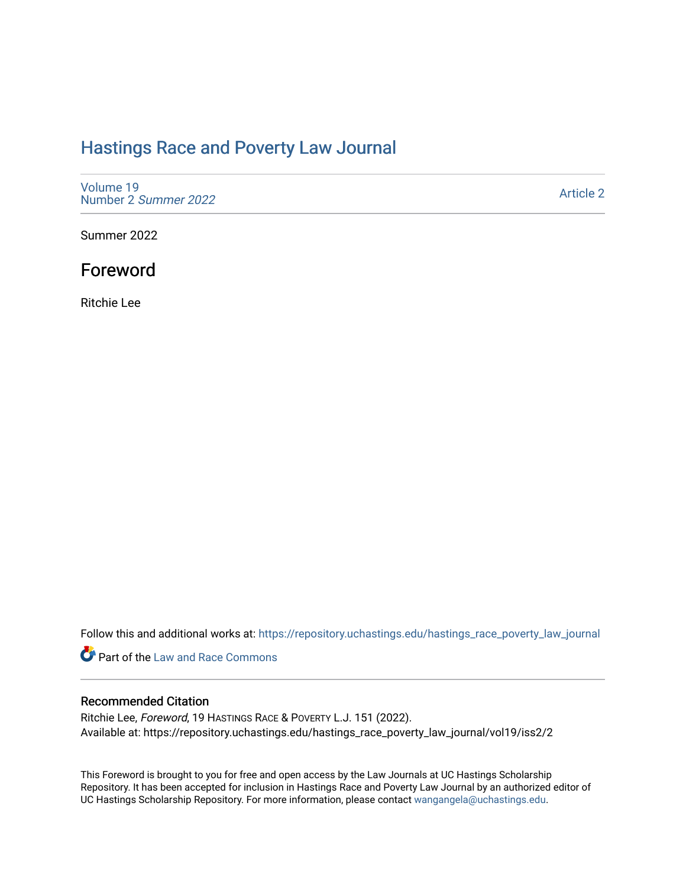## [Hastings Race and Poverty Law Journal](https://repository.uchastings.edu/hastings_race_poverty_law_journal)

[Volume 19](https://repository.uchastings.edu/hastings_race_poverty_law_journal/vol19) [Number 2](https://repository.uchastings.edu/hastings_race_poverty_law_journal/vol19/iss2) Summer 2022

[Article 2](https://repository.uchastings.edu/hastings_race_poverty_law_journal/vol19/iss2/2) 

Summer 2022

## Foreword

Ritchie Lee

Follow this and additional works at: [https://repository.uchastings.edu/hastings\\_race\\_poverty\\_law\\_journal](https://repository.uchastings.edu/hastings_race_poverty_law_journal?utm_source=repository.uchastings.edu%2Fhastings_race_poverty_law_journal%2Fvol19%2Fiss2%2F2&utm_medium=PDF&utm_campaign=PDFCoverPages) 

Part of the [Law and Race Commons](https://network.bepress.com/hgg/discipline/1300?utm_source=repository.uchastings.edu%2Fhastings_race_poverty_law_journal%2Fvol19%2Fiss2%2F2&utm_medium=PDF&utm_campaign=PDFCoverPages) 

## Recommended Citation

Ritchie Lee, Foreword, 19 HASTINGS RACE & POVERTY L.J. 151 (2022). Available at: https://repository.uchastings.edu/hastings\_race\_poverty\_law\_journal/vol19/iss2/2

This Foreword is brought to you for free and open access by the Law Journals at UC Hastings Scholarship Repository. It has been accepted for inclusion in Hastings Race and Poverty Law Journal by an authorized editor of UC Hastings Scholarship Repository. For more information, please contact [wangangela@uchastings.edu](mailto:wangangela@uchastings.edu).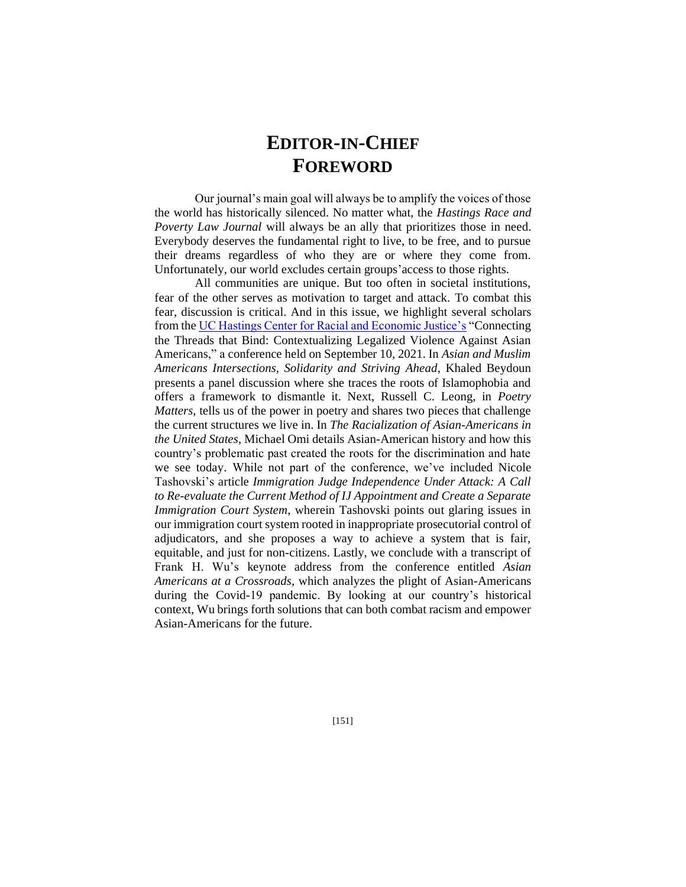## **EDITOR-IN-CHIEF FOREWORD**

Our journal's main goal will always be to amplify the voices of those the world has historically silenced. No matter what, the *Hastings Race and Poverty Law Journal* will always be an ally that prioritizes those in need. Everybody deserves the fundamental right to live, to be free, and to pursue their dreams regardless of who they are or where they come from. Unfortunately, our world excludes certain groups'access to those rights.

All communities are unique. But too often in societal institutions, fear of the other serves as motivation to target and attack. To combat this fear, discussion is critical. And in this issue, we highlight several scholars from th[e UC Hastings Center for Racial and Economic Justice's](https://www.uchastings.edu/academics/centers/center-racial-economic-justice/) "Connecting the Threads that Bind: Contextualizing Legalized Violence Against Asian Americans," a conference held on September 10, 2021. In *Asian and Muslim Americans Intersections, Solidarity and Striving Ahead*, Khaled Beydoun presents a panel discussion where she traces the roots of Islamophobia and offers a framework to dismantle it. Next, Russell C. Leong, in *Poetry Matters*, tells us of the power in poetry and shares two pieces that challenge the current structures we live in. In *The Racialization of Asian-Americans in the United States*, Michael Omi details Asian-American history and how this country's problematic past created the roots for the discrimination and hate we see today. While not part of the conference, we've included Nicole Tashovski's article *Immigration Judge Independence Under Attack: A Call to Re-evaluate the Current Method of IJ Appointment and Create a Separate Immigration Court System*, wherein Tashovski points out glaring issues in our immigration court system rooted in inappropriate prosecutorial control of adjudicators, and she proposes a way to achieve a system that is fair, equitable, and just for non-citizens. Lastly, we conclude with a transcript of Frank H. Wu's keynote address from the conference entitled *Asian Americans at a Crossroads*, which analyzes the plight of Asian-Americans during the Covid-19 pandemic. By looking at our country's historical context, Wu brings forth solutions that can both combat racism and empower Asian-Americans for the future.